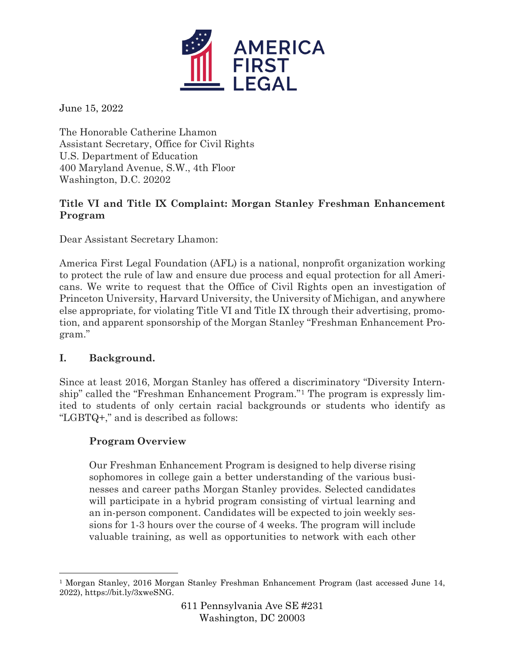

June 15, 2022

The Honorable Catherine Lhamon Assistant Secretary, Office for Civil Rights U.S. Department of Education 400 Maryland Avenue, S.W., 4th Floor Washington, D.C. 20202

## **Title VI and Title IX Complaint: Morgan Stanley Freshman Enhancement Program**

Dear Assistant Secretary Lhamon:

America First Legal Foundation (AFL) is a national, nonprofit organization working to protect the rule of law and ensure due process and equal protection for all Americans. We write to request that the Office of Civil Rights open an investigation of Princeton University, Harvard University, the University of Michigan, and anywhere else appropriate, for violating Title VI and Title IX through their advertising, promotion, and apparent sponsorship of the Morgan Stanley "Freshman Enhancement Program."

## **I. Background.**

Since at least 2016, Morgan Stanley has offered a discriminatory "Diversity Internship" called the "Freshman Enhancement Program."[1](#page-0-0) The program is expressly limited to students of only certain racial backgrounds or students who identify as "LGBTQ+," and is described as follows:

## **Program Overview**

Our Freshman Enhancement Program is designed to help diverse rising sophomores in college gain a better understanding of the various businesses and career paths Morgan Stanley provides. Selected candidates will participate in a hybrid program consisting of virtual learning and an in-person component. Candidates will be expected to join weekly sessions for 1-3 hours over the course of 4 weeks. The program will include valuable training, as well as opportunities to network with each other

<span id="page-0-0"></span><sup>1</sup> Morgan Stanley, 2016 Morgan Stanley Freshman Enhancement Program (last accessed June 14, 2022), https://bit.ly/3xweSNG.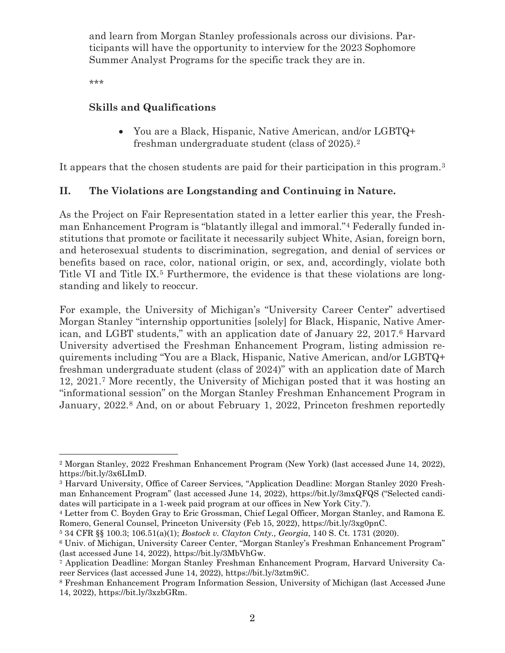and learn from Morgan Stanley professionals across our divisions. Participants will have the opportunity to interview for the 2023 Sophomore Summer Analyst Programs for the specific track they are in.

\*\*\*

#### **Skills and Qualifications**

• You are a Black, Hispanic, Native American, and/or LGBTQ+ freshman undergraduate student (class of 2025).[2](#page-1-0)

It appears that the chosen students are paid for their participation in this program.<sup>[3](#page-1-1)</sup>

### **II. The Violations are Longstanding and Continuing in Nature.**

As the Project on Fair Representation stated in a letter earlier this year, the Freshman Enhancement Program is "blatantly illegal and immoral."[4](#page-1-2) Federally funded institutions that promote or facilitate it necessarily subject White, Asian, foreign born, and heterosexual students to discrimination, segregation, and denial of services or benefits based on race, color, national origin, or sex, and, accordingly, violate both Title VI and Title IX.<sup>[5](#page-1-3)</sup> Furthermore, the evidence is that these violations are longstanding and likely to reoccur.

For example, the University of Michigan's "University Career Center" advertised Morgan Stanley "internship opportunities [solely] for Black, Hispanic, Native American, and LGBT students," with an application date of January 22, 2017.[6](#page-1-4) Harvard University advertised the Freshman Enhancement Program, listing admission requirements including "You are a Black, Hispanic, Native American, and/or LGBTQ+ freshman undergraduate student (class of 2024)" with an application date of March 12, 2021[.7](#page-1-5) More recently, the University of Michigan posted that it was hosting an "informational session" on the Morgan Stanley Freshman Enhancement Program in January, 2022.<sup>8</sup> And, on or about February 1, 2022, Princeton freshmen reportedly

<span id="page-1-0"></span><sup>2</sup> Morgan Stanley, 2022 Freshman Enhancement Program (New York) (last accessed June 14, 2022), https://bit.ly/3x6LImD.

<span id="page-1-1"></span><sup>3</sup> Harvard University, Office of Career Services, "Application Deadline: Morgan Stanley 2020 Freshman Enhancement Program" (last accessed June 14, 2022), https://bit.ly/3mxQFQS ("Selected candidates will participate in a 1-week paid program at our offices in New York City.").

<span id="page-1-2"></span><sup>4</sup> Letter from C. Boyden Gray to Eric Grossman, Chief Legal Officer, Morgan Stanley, and Ramona E. Romero, General Counsel, Princeton University (Feb 15, 2022), https://bit.ly/3xg0pnC. 5 34 CFR §§ 100.3; 106.51(a)(1); *Bostock v. Clayton Cnty., Georgia*, 140 S. Ct. 1731 (2020).

<span id="page-1-3"></span>

<span id="page-1-4"></span><sup>6</sup> Univ. of Michigan, University Career Center, "Morgan Stanley's Freshman Enhancement Program" (last accessed June 14, 2022), https://bit.ly/3MbVhGw. 7 Application Deadline: Morgan Stanley Freshman Enhancement Program, Harvard University Ca-

<span id="page-1-5"></span>reer Services (last accessed June 14, 2022), https://bit.ly/3ztm9iC.<br>8 Freshman Enhancement Program Information Session, University of Michigan (last Accessed June

<span id="page-1-6"></span><sup>14, 2022),</sup> https://bit.ly/3xzbGRm.